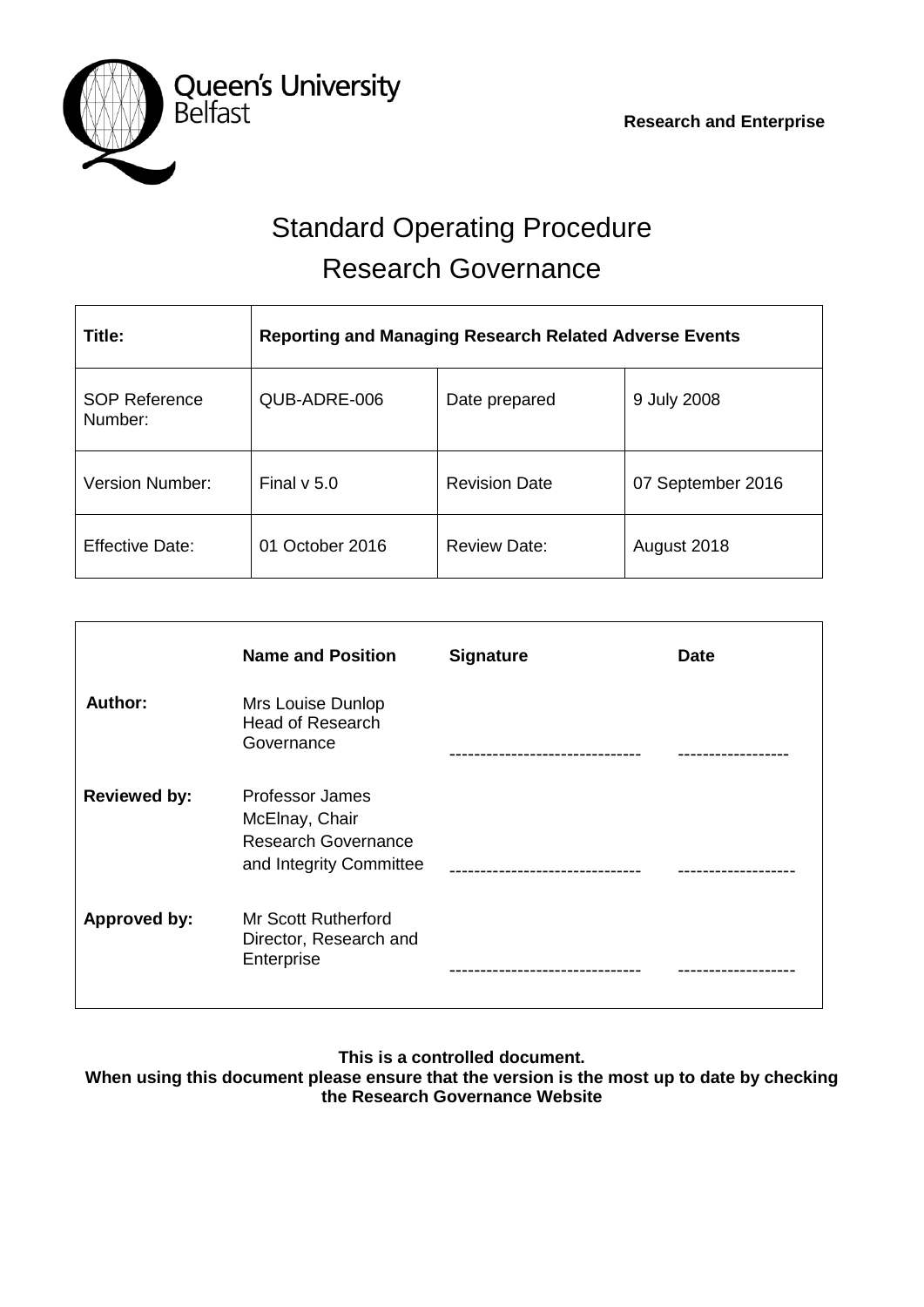

# Standard Operating Procedure Research Governance

| Title:                          | <b>Reporting and Managing Research Related Adverse Events</b> |                      |                   |  |
|---------------------------------|---------------------------------------------------------------|----------------------|-------------------|--|
| <b>SOP Reference</b><br>Number: | QUB-ADRE-006                                                  | Date prepared        | 9 July 2008       |  |
| Version Number:                 | Final $v$ 5.0                                                 | <b>Revision Date</b> | 07 September 2016 |  |
| <b>Effective Date:</b>          | 01 October 2016                                               | <b>Review Date:</b>  | August 2018       |  |

|                     | <b>Name and Position</b>                                                                   | <b>Signature</b> | <b>Date</b> |
|---------------------|--------------------------------------------------------------------------------------------|------------------|-------------|
| Author:             | Mrs Louise Dunlop<br><b>Head of Research</b><br>Governance                                 |                  |             |
| <b>Reviewed by:</b> | Professor James<br>McElnay, Chair<br><b>Research Governance</b><br>and Integrity Committee |                  |             |
| <b>Approved by:</b> | <b>Mr Scott Rutherford</b><br>Director, Research and<br>Enterprise                         |                  |             |

**This is a controlled document.**

**When using this document please ensure that the version is the most up to date by checking the Research Governance Website**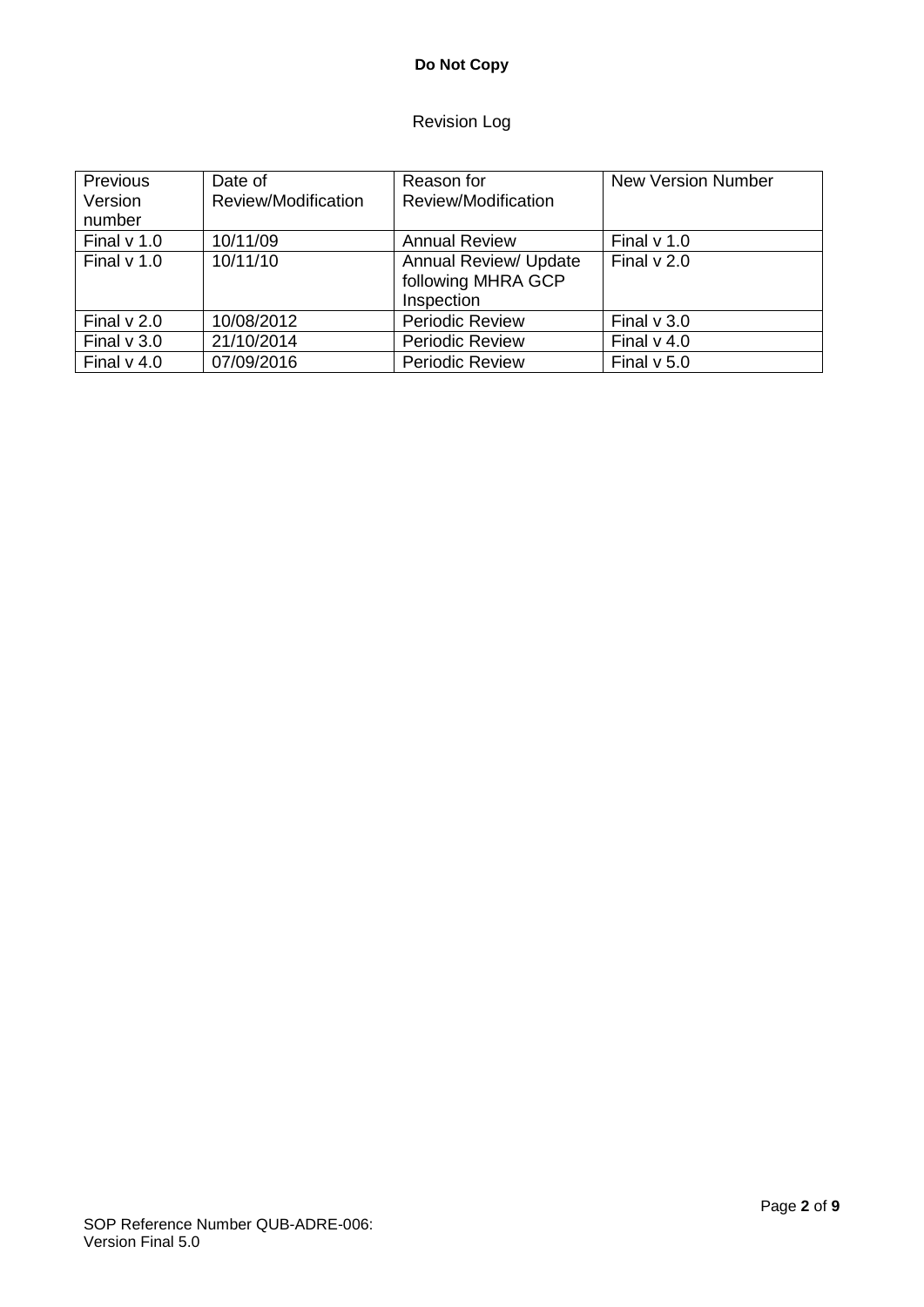# **Do Not Copy**

# Revision Log

| Previous      | Date of             | Reason for                   | <b>New Version Number</b> |
|---------------|---------------------|------------------------------|---------------------------|
| Version       | Review/Modification | Review/Modification          |                           |
| number        |                     |                              |                           |
| Final $v$ 1.0 | 10/11/09            | <b>Annual Review</b>         | Final $v$ 1.0             |
| Final $v$ 1.0 | 10/11/10            | <b>Annual Review/ Update</b> | Final $v$ 2.0             |
|               |                     | following MHRA GCP           |                           |
|               |                     | Inspection                   |                           |
| Final $v$ 2.0 | 10/08/2012          | <b>Periodic Review</b>       | Final $v$ 3.0             |
| Final $v$ 3.0 | 21/10/2014          | <b>Periodic Review</b>       | Final $v$ 4.0             |
| Final $v$ 4.0 | 07/09/2016          | <b>Periodic Review</b>       | Final $v$ 5.0             |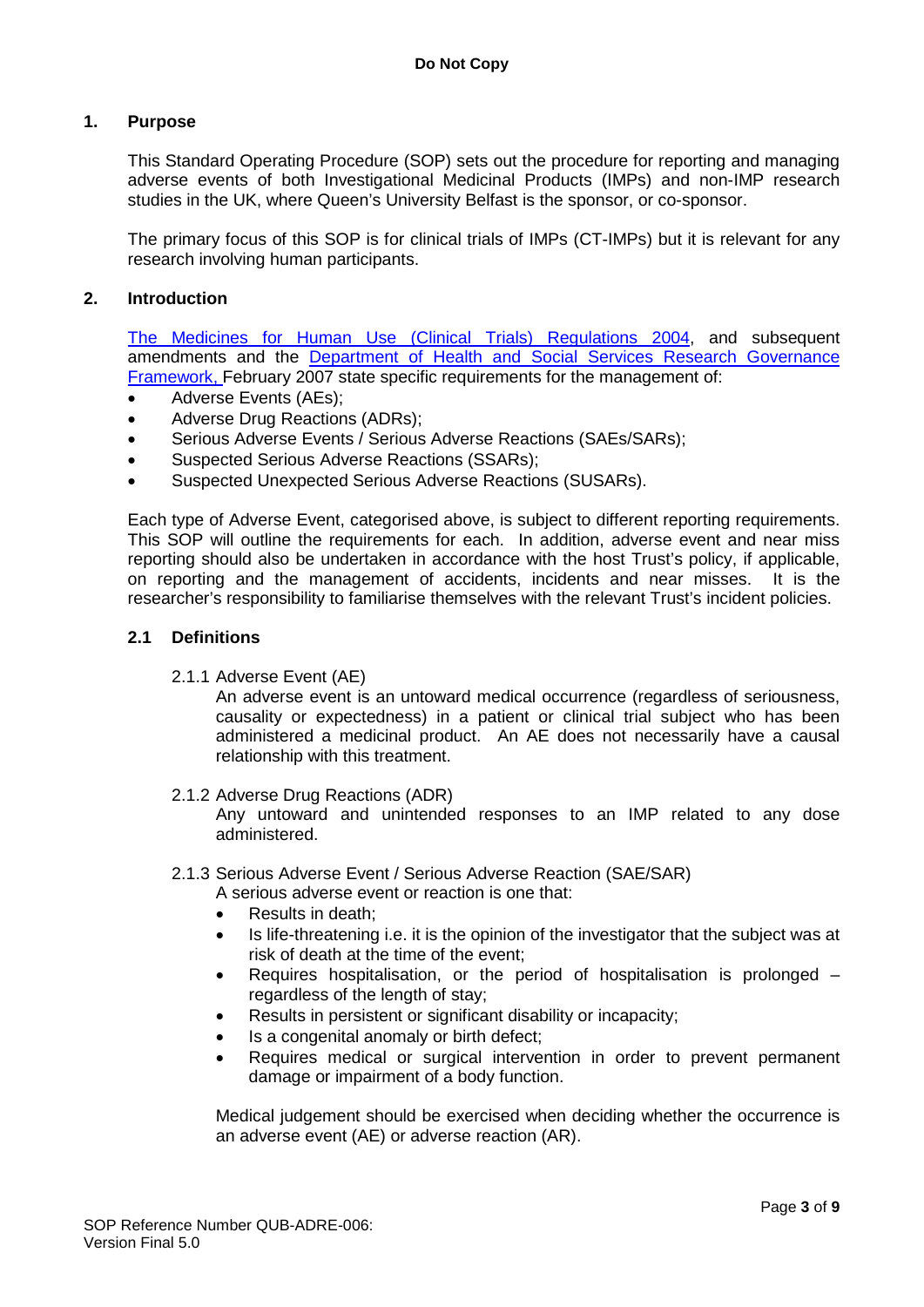# **1. Purpose**

This Standard Operating Procedure (SOP) sets out the procedure for reporting and managing adverse events of both Investigational Medicinal Products (IMPs) and non-IMP research studies in the UK, where Queen's University Belfast is the sponsor, or co-sponsor.

The primary focus of this SOP is for clinical trials of IMPs (CT-IMPs) but it is relevant for any research involving human participants.

## **2. Introduction**

[The Medicines for Human Use \(Clinical Trials\) Regulations 2004,](http://www.opsi.gov.uk/si/si2004/20041031.htm) and subsequent amendments and the [Department of Health and Social Services Research Governance](http://www.dhsspsni.gov.uk/research_governance_framework.pdf)  [Framework, F](http://www.dhsspsni.gov.uk/research_governance_framework.pdf)ebruary 2007 state specific requirements for the management of:

- Adverse Events (AEs);
- Adverse Drug Reactions (ADRs);
- Serious Adverse Events / Serious Adverse Reactions (SAEs/SARs);
- Suspected Serious Adverse Reactions (SSARs);
- Suspected Unexpected Serious Adverse Reactions (SUSARs).

Each type of Adverse Event, categorised above, is subject to different reporting requirements. This SOP will outline the requirements for each. In addition, adverse event and near miss reporting should also be undertaken in accordance with the host Trust's policy, if applicable, on reporting and the management of accidents, incidents and near misses. It is the researcher's responsibility to familiarise themselves with the relevant Trust's incident policies.

#### **2.1 Definitions**

2.1.1 Adverse Event (AE)

An adverse event is an untoward medical occurrence (regardless of seriousness, causality or expectedness) in a patient or clinical trial subject who has been administered a medicinal product. An AE does not necessarily have a causal relationship with this treatment.

2.1.2 Adverse Drug Reactions (ADR)

Any untoward and unintended responses to an IMP related to any dose administered.

- 2.1.3 Serious Adverse Event / Serious Adverse Reaction (SAE/SAR)
	- A serious adverse event or reaction is one that:
	- Results in death:
	- Is life-threatening i.e. it is the opinion of the investigator that the subject was at risk of death at the time of the event;
	- Requires hospitalisation, or the period of hospitalisation is prolonged regardless of the length of stay;
	- Results in persistent or significant disability or incapacity;
	- Is a congenital anomaly or birth defect:
	- Requires medical or surgical intervention in order to prevent permanent damage or impairment of a body function.

Medical judgement should be exercised when deciding whether the occurrence is an adverse event (AE) or adverse reaction (AR).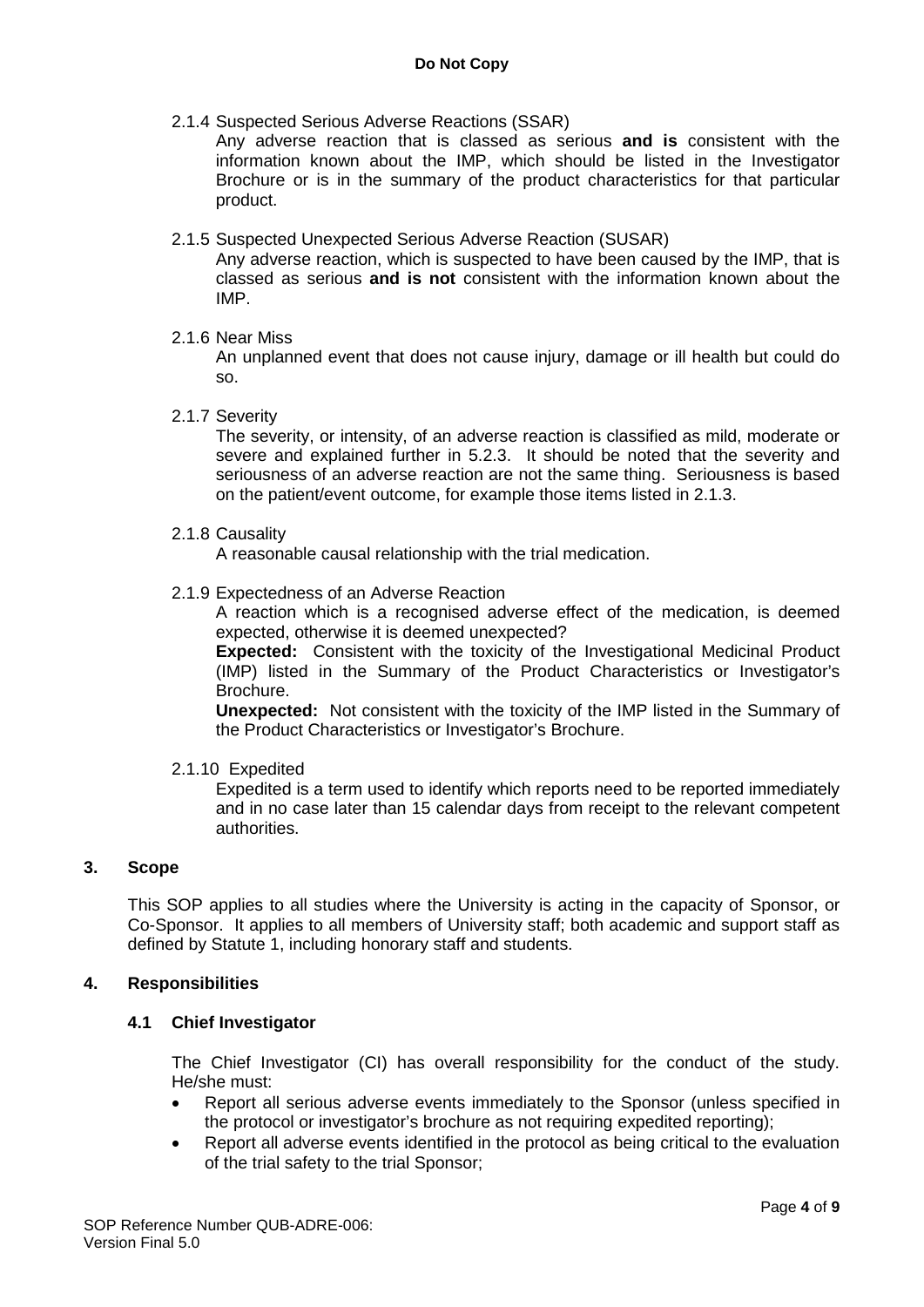2.1.4 Suspected Serious Adverse Reactions (SSAR)

Any adverse reaction that is classed as serious **and is** consistent with the information known about the IMP, which should be listed in the Investigator Brochure or is in the summary of the product characteristics for that particular product.

2.1.5 Suspected Unexpected Serious Adverse Reaction (SUSAR)

Any adverse reaction, which is suspected to have been caused by the IMP, that is classed as serious **and is not** consistent with the information known about the IMP.

2.1.6 Near Miss

An unplanned event that does not cause injury, damage or ill health but could do so.

2.1.7 Severity

The severity, or intensity, of an adverse reaction is classified as mild, moderate or severe and explained further in 5.2.3. It should be noted that the severity and seriousness of an adverse reaction are not the same thing. Seriousness is based on the patient/event outcome, for example those items listed in 2.1.3.

2.1.8 Causality

A reasonable causal relationship with the trial medication.

2.1.9 Expectedness of an Adverse Reaction

A reaction which is a recognised adverse effect of the medication, is deemed expected, otherwise it is deemed unexpected?

**Expected:** Consistent with the toxicity of the Investigational Medicinal Product (IMP) listed in the Summary of the Product Characteristics or Investigator's Brochure.

**Unexpected:** Not consistent with the toxicity of the IMP listed in the Summary of the Product Characteristics or Investigator's Brochure.

2.1.10 Expedited

Expedited is a term used to identify which reports need to be reported immediately and in no case later than 15 calendar days from receipt to the relevant competent authorities.

# **3. Scope**

This SOP applies to all studies where the University is acting in the capacity of Sponsor, or Co-Sponsor. It applies to all members of University staff; both academic and support staff as defined by Statute 1, including honorary staff and students.

# **4. Responsibilities**

#### **4.1 Chief Investigator**

The Chief Investigator (CI) has overall responsibility for the conduct of the study. He/she must:

- Report all serious adverse events immediately to the Sponsor (unless specified in the protocol or investigator's brochure as not requiring expedited reporting);
- Report all adverse events identified in the protocol as being critical to the evaluation of the trial safety to the trial Sponsor;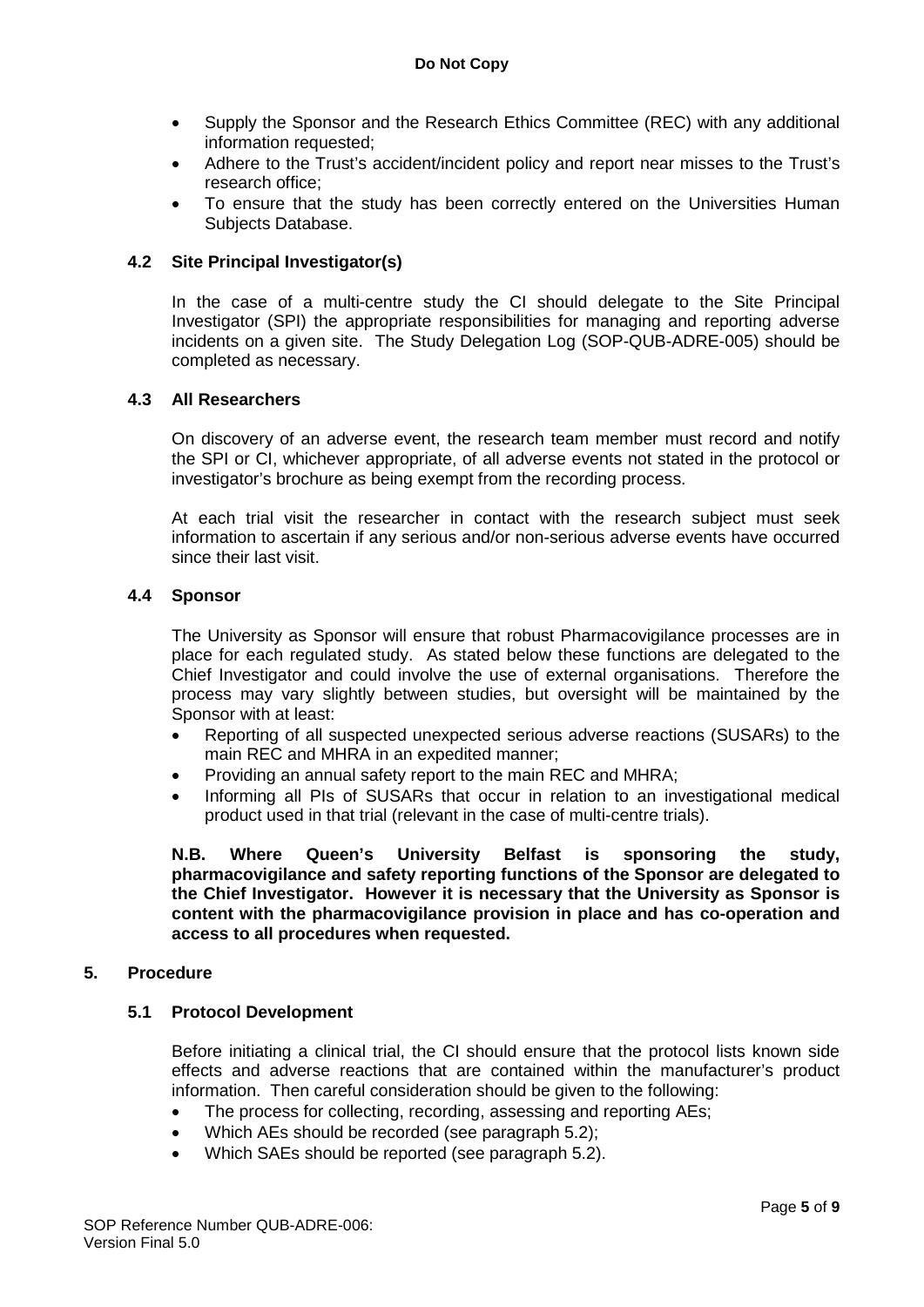- Supply the Sponsor and the Research Ethics Committee (REC) with any additional information requested;
- Adhere to the Trust's accident/incident policy and report near misses to the Trust's research office;
- To ensure that the study has been correctly entered on the Universities Human Subjects Database.

## **4.2 Site Principal Investigator(s)**

In the case of a multi-centre study the CI should delegate to the Site Principal Investigator (SPI) the appropriate responsibilities for managing and reporting adverse incidents on a given site. The Study Delegation Log (SOP-QUB-ADRE-005) should be completed as necessary.

#### **4.3 All Researchers**

On discovery of an adverse event, the research team member must record and notify the SPI or CI, whichever appropriate, of all adverse events not stated in the protocol or investigator's brochure as being exempt from the recording process.

At each trial visit the researcher in contact with the research subject must seek information to ascertain if any serious and/or non-serious adverse events have occurred since their last visit.

#### **4.4 Sponsor**

The University as Sponsor will ensure that robust Pharmacovigilance processes are in place for each regulated study. As stated below these functions are delegated to the Chief Investigator and could involve the use of external organisations. Therefore the process may vary slightly between studies, but oversight will be maintained by the Sponsor with at least:

- Reporting of all suspected unexpected serious adverse reactions (SUSARs) to the main REC and MHRA in an expedited manner;
- Providing an annual safety report to the main REC and MHRA;
- Informing all PIs of SUSARs that occur in relation to an investigational medical product used in that trial (relevant in the case of multi-centre trials).

**N.B. Where Queen's University Belfast is sponsoring the study, pharmacovigilance and safety reporting functions of the Sponsor are delegated to the Chief Investigator. However it is necessary that the University as Sponsor is content with the pharmacovigilance provision in place and has co-operation and access to all procedures when requested.**

#### **5. Procedure**

# **5.1 Protocol Development**

Before initiating a clinical trial, the CI should ensure that the protocol lists known side effects and adverse reactions that are contained within the manufacturer's product information. Then careful consideration should be given to the following:

• The process for collecting, recording, assessing and reporting AEs;

- Which AEs should be recorded (see paragraph 5.2);
- Which SAEs should be reported (see paragraph 5.2).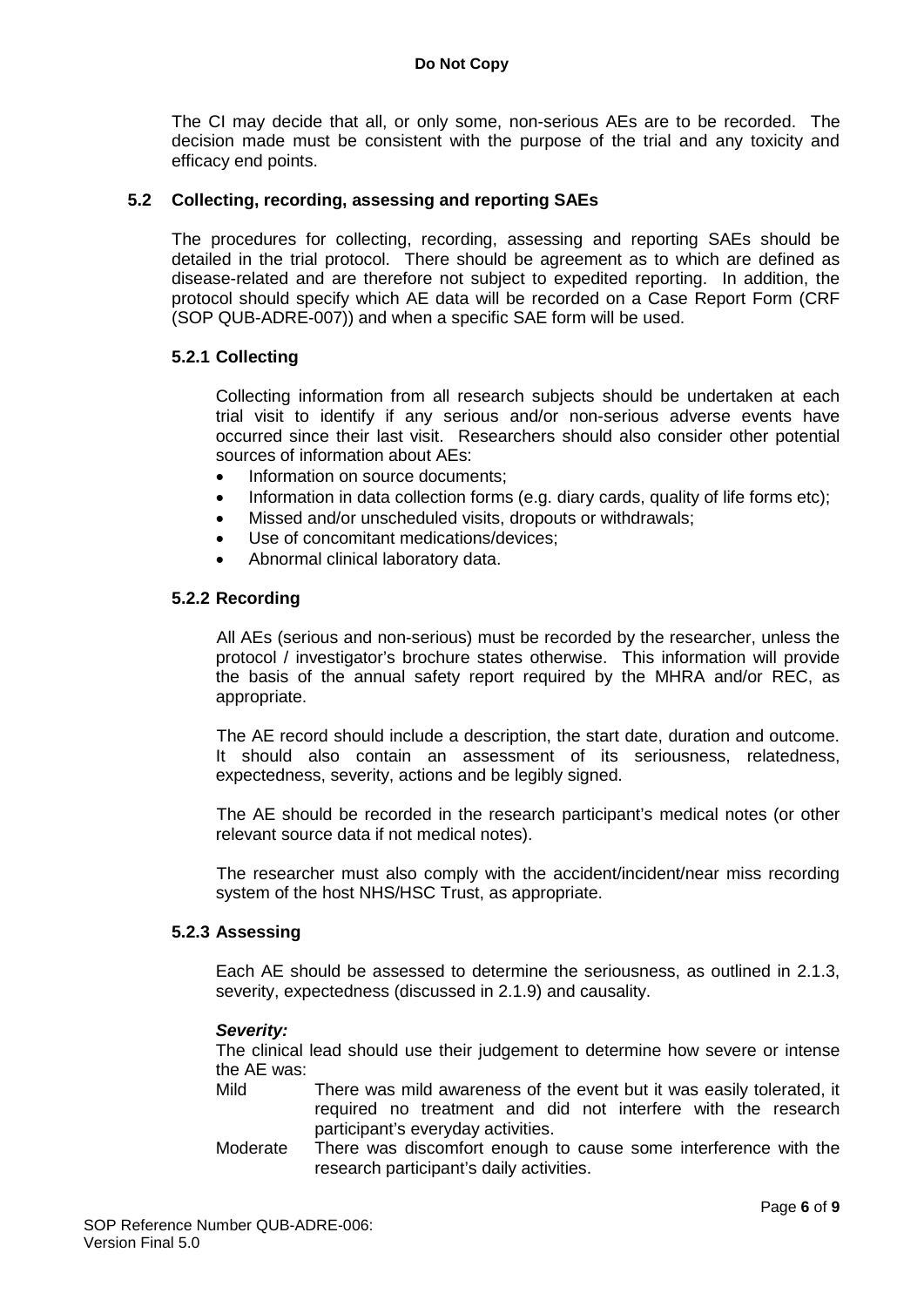The CI may decide that all, or only some, non-serious AEs are to be recorded. The decision made must be consistent with the purpose of the trial and any toxicity and efficacy end points.

#### **5.2 Collecting, recording, assessing and reporting SAEs**

The procedures for collecting, recording, assessing and reporting SAEs should be detailed in the trial protocol. There should be agreement as to which are defined as disease-related and are therefore not subject to expedited reporting. In addition, the protocol should specify which AE data will be recorded on a Case Report Form (CRF (SOP QUB-ADRE-007)) and when a specific SAE form will be used.

#### **5.2.1 Collecting**

Collecting information from all research subjects should be undertaken at each trial visit to identify if any serious and/or non-serious adverse events have occurred since their last visit. Researchers should also consider other potential sources of information about AEs:

- Information on source documents:
- Information in data collection forms (e.g. diary cards, quality of life forms etc);
- Missed and/or unscheduled visits, dropouts or withdrawals;
- Use of concomitant medications/devices:
- Abnormal clinical laboratory data.

#### **5.2.2 Recording**

All AEs (serious and non-serious) must be recorded by the researcher, unless the protocol / investigator's brochure states otherwise. This information will provide the basis of the annual safety report required by the MHRA and/or REC, as appropriate.

The AE record should include a description, the start date, duration and outcome. It should also contain an assessment of its seriousness, relatedness, expectedness, severity, actions and be legibly signed.

The AE should be recorded in the research participant's medical notes (or other relevant source data if not medical notes).

The researcher must also comply with the accident/incident/near miss recording system of the host NHS/HSC Trust, as appropriate.

#### **5.2.3 Assessing**

Each AE should be assessed to determine the seriousness, as outlined in 2.1.3, severity, expectedness (discussed in 2.1.9) and causality.

#### *Severity:*

The clinical lead should use their judgement to determine how severe or intense the AE was:

- Mild There was mild awareness of the event but it was easily tolerated, it required no treatment and did not interfere with the research participant's everyday activities.
- Moderate There was discomfort enough to cause some interference with the research participant's daily activities.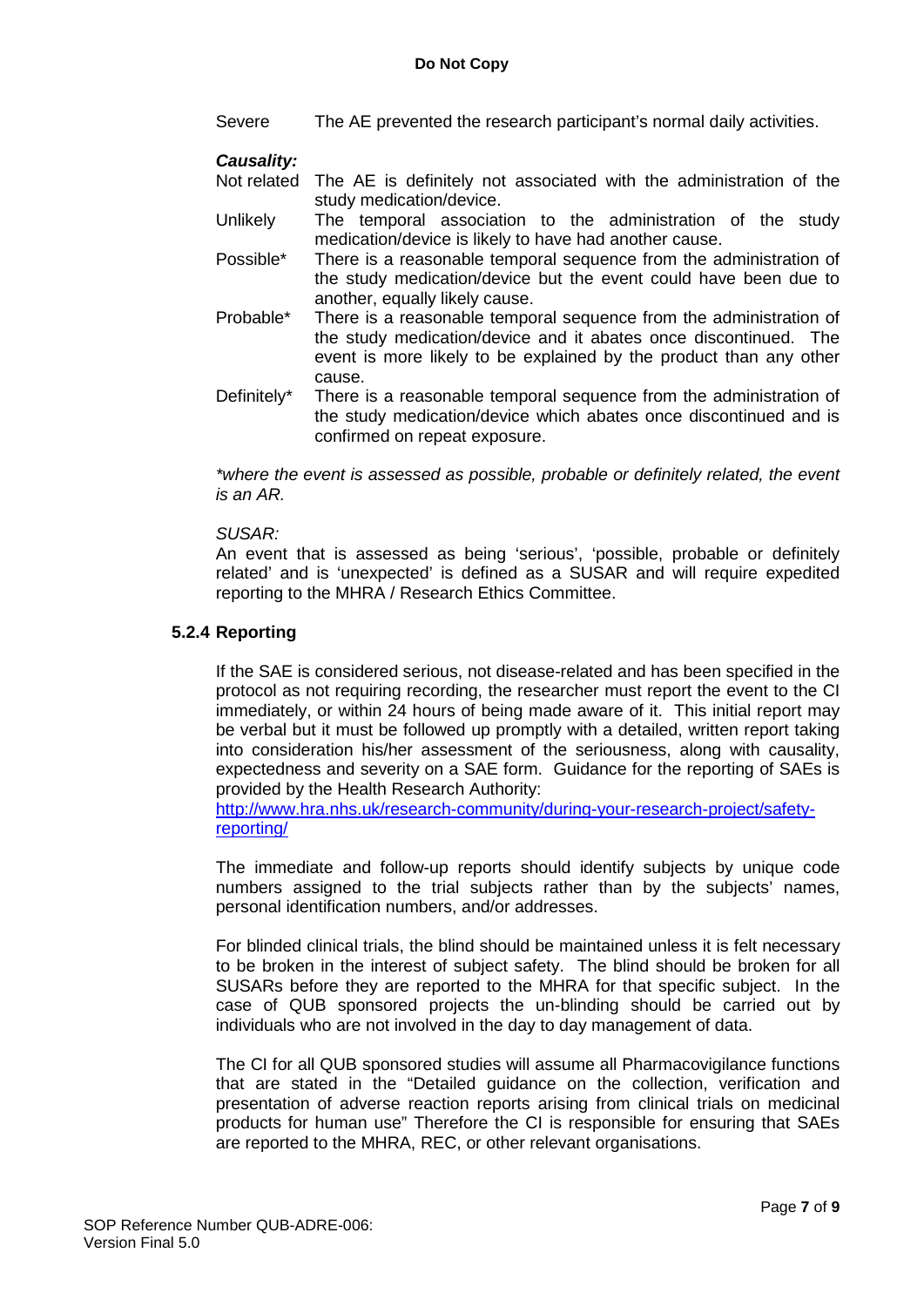Severe The AE prevented the research participant's normal daily activities.

#### *Causality:*

- Not related The AE is definitely not associated with the administration of the study medication/device.
- Unlikely The temporal association to the administration of the study medication/device is likely to have had another cause.
- Possible\* There is a reasonable temporal sequence from the administration of the study medication/device but the event could have been due to another, equally likely cause.
- Probable\* There is a reasonable temporal sequence from the administration of the study medication/device and it abates once discontinued. The event is more likely to be explained by the product than any other cause.
- Definitely\* There is a reasonable temporal sequence from the administration of the study medication/device which abates once discontinued and is confirmed on repeat exposure.

*\*where the event is assessed as possible, probable or definitely related, the event is an AR.*

#### *SUSAR:*

An event that is assessed as being 'serious', 'possible, probable or definitely related' and is 'unexpected' is defined as a SUSAR and will require expedited reporting to the MHRA / Research Ethics Committee.

# **5.2.4 Reporting**

If the SAE is considered serious, not disease-related and has been specified in the protocol as not requiring recording, the researcher must report the event to the CI immediately, or within 24 hours of being made aware of it. This initial report may be verbal but it must be followed up promptly with a detailed, written report taking into consideration his/her assessment of the seriousness, along with causality, expectedness and severity on a SAE form. Guidance for the reporting of SAEs is provided by the Health Research Authority:

[http://www.hra.nhs.uk/research-community/during-your-research-project/safety](http://www.hra.nhs.uk/research-community/during-your-research-project/safety-reporting/)[reporting/](http://www.hra.nhs.uk/research-community/during-your-research-project/safety-reporting/)

The immediate and follow-up reports should identify subjects by unique code numbers assigned to the trial subjects rather than by the subjects' names, personal identification numbers, and/or addresses.

For blinded clinical trials, the blind should be maintained unless it is felt necessary to be broken in the interest of subject safety. The blind should be broken for all SUSARs before they are reported to the MHRA for that specific subject. In the case of QUB sponsored projects the un-blinding should be carried out by individuals who are not involved in the day to day management of data.

The CI for all QUB sponsored studies will assume all Pharmacovigilance functions that are stated in the "Detailed guidance on the collection, verification and presentation of adverse reaction reports arising from clinical trials on medicinal products for human use" Therefore the CI is responsible for ensuring that SAEs are reported to the MHRA, REC, or other relevant organisations.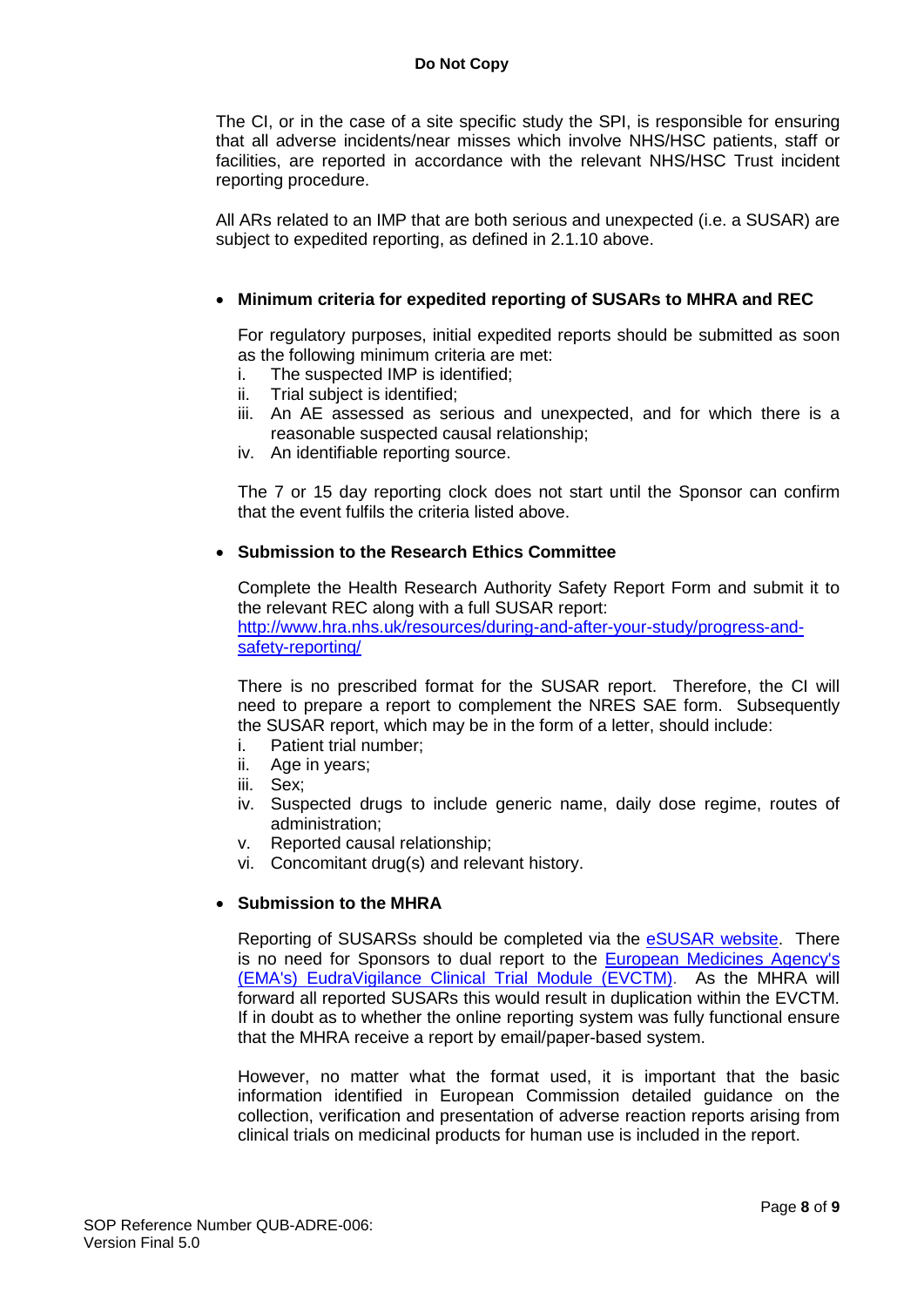The CI, or in the case of a site specific study the SPI, is responsible for ensuring that all adverse incidents/near misses which involve NHS/HSC patients, staff or facilities, are reported in accordance with the relevant NHS/HSC Trust incident reporting procedure.

All ARs related to an IMP that are both serious and unexpected (i.e. a SUSAR) are subject to expedited reporting, as defined in 2.1.10 above.

## • **Minimum criteria for expedited reporting of SUSARs to MHRA and REC**

For regulatory purposes, initial expedited reports should be submitted as soon as the following minimum criteria are met:

- i. The suspected IMP is identified;
- ii. Trial subject is identified;
- iii. An AE assessed as serious and unexpected, and for which there is a reasonable suspected causal relationship;
- iv. An identifiable reporting source.

The 7 or 15 day reporting clock does not start until the Sponsor can confirm that the event fulfils the criteria listed above.

#### • **Submission to the Research Ethics Committee**

Complete the Health Research Authority Safety Report Form and submit it to the relevant REC along with a full SUSAR report: [http://www.hra.nhs.uk/resources/during-and-after-your-study/progress-and](http://www.hra.nhs.uk/resources/during-and-after-your-study/progress-and-safety-reporting/)[safety-reporting/](http://www.hra.nhs.uk/resources/during-and-after-your-study/progress-and-safety-reporting/)

There is no prescribed format for the SUSAR report. Therefore, the CI will need to prepare a report to complement the NRES SAE form. Subsequently the SUSAR report, which may be in the form of a letter, should include:

- i. Patient trial number;
- ii. Age in years;
- iii. Sex;
- iv. Suspected drugs to include generic name, daily dose regime, routes of administration;
- v. Reported causal relationship;
- vi. Concomitant drug(s) and relevant history.

# • **Submission to the MHRA**

Reporting of SUSARSs should be completed via the **eSUSAR website**. There is no need for Sponsors to dual report to the [European Medicines Agency's](http://www.ema.europa.eu/ema/index.jsp?curl=pages/regulation/general/general_content_000679.jsp)  [\(EMA's\) EudraVigilance Clinical Trial Module \(EVCTM\).](http://www.ema.europa.eu/ema/index.jsp?curl=pages/regulation/general/general_content_000679.jsp) As the MHRA will forward all reported SUSARs this would result in duplication within the EVCTM. If in doubt as to whether the online reporting system was fully functional ensure that the MHRA receive a report by email/paper-based system.

However, no matter what the format used, it is important that the basic information identified in European Commission detailed guidance on the collection, verification and presentation of adverse reaction reports arising from clinical trials on medicinal products for human use is included in the report.